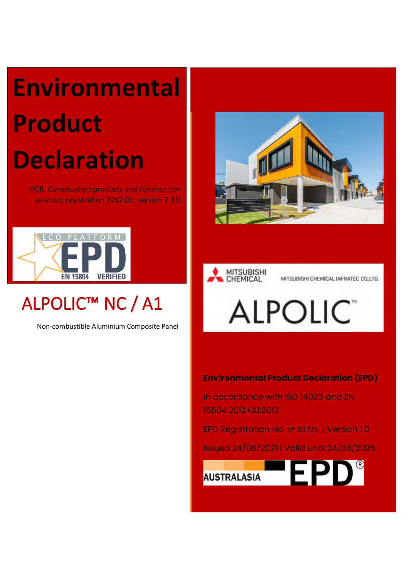# **Environmental Product Declaration**

(PCR: Construction products and construction services; registration 2012:01; version 2.33)



## ALPOLIC™ NC / A1

Non-combustible Aluminium Composite Panel





## **Environmental Product Declaration (EPD)**

in accordance with ISO 14025 and EN 15804:2012+A1:2013.

EPD Registration No. SP-03725 | Version 1.0

Issued 24/08/2021 | Valid until 24/08/2026

 $EPD^{\circ}$ **AUSTRALASIA**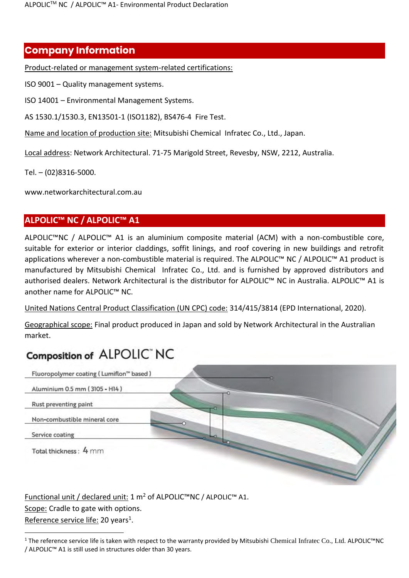## **Company Information**

Product-related or management system-related certifications:

ISO 9001 – Quality management systems.

ISO 14001 – Environmental Management Systems.

AS 1530.1/1530.3, EN13501-1 (ISO1182), BS476-4 Fire Test.

Name and location of production site: Mitsubishi Chemical Infratec Co., Ltd., Japan.

Local address: Network Architectural. 71-75 Marigold Street, Revesby, NSW, 2212, Australia.

Tel. – (02)8316-5000.

www.networkarchitectural.com.au

## **ALPOLIC™ NC / ALPOLIC™ A1**

ALPOLIC™NC / ALPOLIC™ A1 is an aluminium composite material (ACM) with a non-combustible core, suitable for exterior or interior claddings, soffit linings, and roof covering in new buildings and retrofit applications wherever a non-combustible material is required. The ALPOLIC™ NC / ALPOLIC™ A1 product is manufactured by Mitsubishi Chemical Infratec Co., Ltd. and is furnished by approved distributors and authorised dealers. Network Architectural is the distributor for ALPOLIC™ NC in Australia. ALPOLIC™ A1 is another name for ALPOLIC™ NC.

United Nations Central Product Classification (UN CPC) code: 314/415/3814 (EPD International, 2020).

Geographical scope: Final product produced in Japan and sold by Network Architectural in the Australian market.

## Composition of ALPOLIC" NC



Functional unit / declared unit: 1 m<sup>2</sup> of ALPOLIC™NC / ALPOLIC™ A1. Scope: Cradle to gate with options. Reference service life: 20 years<sup>1</sup>.

<sup>1</sup> The reference service life is taken with respect to the warranty provided by Mitsubishi Chemical Infratec Co., Ltd. ALPOLIC™NC / ALPOLIC™ A1 is still used in structures older than 30 years.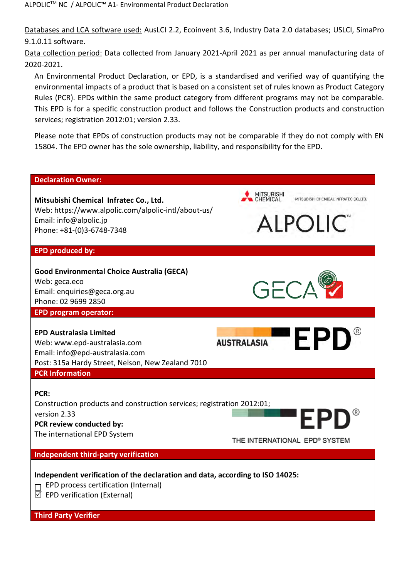Databases and LCA software used: AusLCI 2.2, Ecoinvent 3.6, Industry Data 2.0 databases; USLCI, SimaPro 9.1.0.11 software.

Data collection period: Data collected from January 2021-April 2021 as per annual manufacturing data of 2020-2021.

An Environmental Product Declaration, or EPD, is a standardised and verified way of quantifying the environmental impacts of a product that is based on a consistent set of rules known as Product Category Rules (PCR). EPDs within the same product category from different programs may not be comparable. This EPD is for a specific construction product and follows the Construction products and construction services; registration 2012:01; version 2.33.

Please note that EPDs of construction products may not be comparable if they do not comply with EN 15804. The EPD owner has the sole ownership, liability, and responsibility for the EPD.

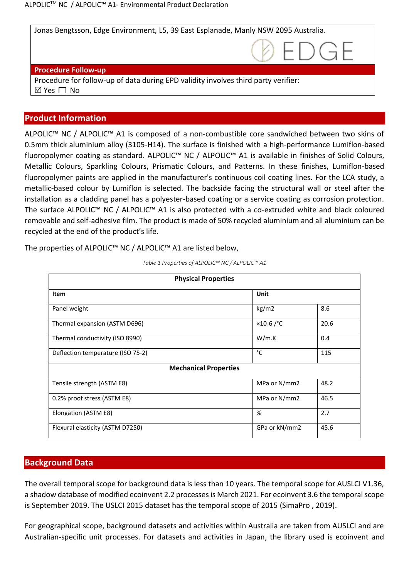Jonas Bengtsson, Edge Environment, L5, 39 East Esplanade, Manly NSW 2095 Australia.

#### **Procedure Follow-up**

Procedure for follow-up of data during EPD validity involves third party verifier:  $\boxtimes$  Yes  $\Box$  No

#### **Product Information**

ALPOLIC™ NC / ALPOLIC™ A1 is composed of a non-combustible core sandwiched between two skins of 0.5mm thick aluminium alloy (3105-H14). The surface is finished with a high-performance Lumiflon-based fluoropolymer coating as standard. ALPOLIC™ NC / ALPOLIC™ A1 is available in finishes of Solid Colours, Metallic Colours, Sparkling Colours, Prismatic Colours, and Patterns. In these finishes, Lumiflon-based fluoropolymer paints are applied in the manufacturer's continuous coil coating lines. For the LCA study, a metallic-based colour by Lumiflon is selected. The backside facing the structural wall or steel after the installation as a cladding panel has a polyester-based coating or a service coating as corrosion protection. The surface ALPOLIC™ NC / ALPOLIC™ A1 is also protected with a co-extruded white and black coloured removable and self-adhesive film. The product is made of 50% recycled aluminium and all aluminium can be recycled at the end of the product's life.

The properties of ALPOLIC™ NC / ALPOLIC™ A1 are listed below,

| <b>Physical Properties</b>        |                |      |  |  |  |  |
|-----------------------------------|----------------|------|--|--|--|--|
| <b>Item</b>                       | Unit           |      |  |  |  |  |
| Panel weight                      | kg/m2          | 8.6  |  |  |  |  |
| Thermal expansion (ASTM D696)     | $×10-6$ / $°C$ | 20.6 |  |  |  |  |
| Thermal conductivity (ISO 8990)   | W/m.K          | 0.4  |  |  |  |  |
| Deflection temperature (ISO 75-2) | °C             | 115  |  |  |  |  |
| <b>Mechanical Properties</b>      |                |      |  |  |  |  |
| Tensile strength (ASTM E8)        | MPa or N/mm2   | 48.2 |  |  |  |  |
| 0.2% proof stress (ASTM E8)       | MPa or N/mm2   | 46.5 |  |  |  |  |
| Elongation (ASTM E8)              | %              | 2.7  |  |  |  |  |
| Flexural elasticity (ASTM D7250)  | GPa or kN/mm2  | 45.6 |  |  |  |  |

*Table 1 Properties of ALPOLIC™ NC / ALPOLIC™ A1*

#### **Background Data**

The overall temporal scope for background data is less than 10 years. The temporal scope for AUSLCI V1.36, a shadow database of modified ecoinvent 2.2 processes is March 2021. For ecoinvent 3.6 the temporal scope is September 2019. The USLCI 2015 dataset has the temporal scope of 2015 (SimaPro , 2019).

For geographical scope, background datasets and activities within Australia are taken from AUSLCI and are Australian-specific unit processes. For datasets and activities in Japan, the library used is ecoinvent and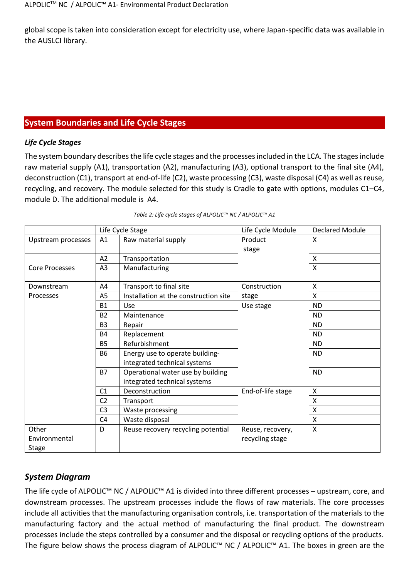global scope is taken into consideration except for electricity use, where Japan-specific data was available in the AUSLCI library.

## **System Boundaries and Life Cycle Stages**

#### *Life Cycle Stages*

The system boundary describes the life cycle stages and the processes included in the LCA. The stages include raw material supply (A1), transportation (A2), manufacturing (A3), optional transport to the final site (A4), deconstruction (C1), transport at end-of-life (C2), waste processing (C3), waste disposal (C4) as well as reuse, recycling, and recovery. The module selected for this study is Cradle to gate with options, modules C1–C4, module D. The additional module is A4.

|                                 |                | Life Cycle Stage                                                  | Life Cycle Module                   | <b>Declared Module</b> |
|---------------------------------|----------------|-------------------------------------------------------------------|-------------------------------------|------------------------|
| Upstream processes              | A1             | Raw material supply                                               | Product<br>stage                    | X                      |
|                                 | A2             | Transportation                                                    |                                     | X                      |
| <b>Core Processes</b>           | A3             | Manufacturing                                                     |                                     | $\mathsf{x}$           |
| Downstream                      | A4             | Transport to final site                                           | Construction                        | X                      |
| Processes                       | A <sub>5</sub> | Installation at the construction site                             | stage                               | X                      |
|                                 | <b>B1</b>      | <b>Use</b>                                                        | Use stage                           | <b>ND</b>              |
|                                 | <b>B2</b>      | Maintenance                                                       |                                     | <b>ND</b>              |
|                                 | B <sub>3</sub> | Repair                                                            |                                     | <b>ND</b>              |
|                                 | <b>B4</b>      | Replacement                                                       |                                     | <b>ND</b>              |
|                                 | <b>B5</b>      | Refurbishment                                                     |                                     | <b>ND</b>              |
|                                 | <b>B6</b>      | Energy use to operate building-<br>integrated technical systems   |                                     | <b>ND</b>              |
|                                 | <b>B7</b>      | Operational water use by building<br>integrated technical systems |                                     | <b>ND</b>              |
|                                 | C <sub>1</sub> | Deconstruction                                                    | End-of-life stage                   | X                      |
|                                 | C <sub>2</sub> | Transport                                                         |                                     | X                      |
|                                 | C <sub>3</sub> | Waste processing                                                  |                                     | X                      |
|                                 | C <sub>4</sub> | Waste disposal                                                    |                                     | X                      |
| Other<br>Environmental<br>Stage | D              | Reuse recovery recycling potential                                | Reuse, recovery,<br>recycling stage | X                      |

| Table 2: Life cycle stages of ALPOLIC™ NC / ALPOLIC™ A1 |  |  |
|---------------------------------------------------------|--|--|
|                                                         |  |  |

## *System Diagram*

The life cycle of ALPOLIC™ NC / ALPOLIC™ A1 is divided into three different processes – upstream, core, and downstream processes. The upstream processes include the flows of raw materials. The core processes include all activities that the manufacturing organisation controls, i.e. transportation of the materials to the manufacturing factory and the actual method of manufacturing the final product. The downstream processes include the steps controlled by a consumer and the disposal or recycling options of the products. The figure below shows the process diagram of ALPOLIC™ NC / ALPOLIC™ A1. The boxes in green are the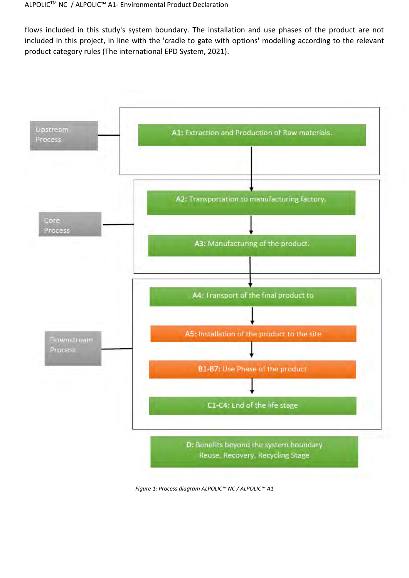flows included in this study's system boundary. The installation and use phases of the product are not included in this project, in line with the 'cradle to gate with options' modelling according to the relevant product category rules (The international EPD System, 2021).



*Figure 1: Process diagram ALPOLIC™ NC / ALPOLIC™ A1*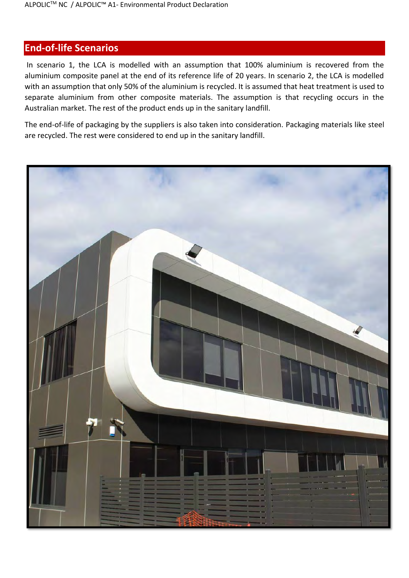## **End-of-life Scenarios**

In scenario 1, the LCA is modelled with an assumption that 100% aluminium is recovered from the aluminium composite panel at the end of its reference life of 20 years. In scenario 2, the LCA is modelled with an assumption that only 50% of the aluminium is recycled. It is assumed that heat treatment is used to separate aluminium from other composite materials. The assumption is that recycling occurs in the Australian market. The rest of the product ends up in the sanitary landfill.

The end-of-life of packaging by the suppliers is also taken into consideration. Packaging materials like steel are recycled. The rest were considered to end up in the sanitary landfill.

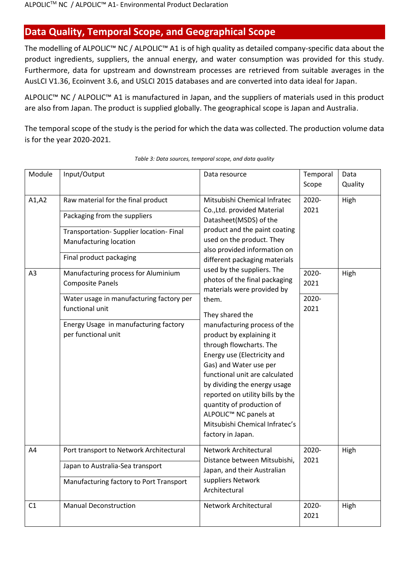## **Data Quality, Temporal Scope, and Geographical Scope**

The modelling of ALPOLIC™ NC / ALPOLIC™ A1 is of high quality as detailed company-specific data about the product ingredients, suppliers, the annual energy, and water consumption was provided for this study. Furthermore, data for upstream and downstream processes are retrieved from suitable averages in the AusLCI V1.36, Ecoinvent 3.6, and USLCI 2015 databases and are converted into data ideal for Japan.

ALPOLIC™ NC / ALPOLIC™ A1 is manufactured in Japan, and the suppliers of materials used in this product are also from Japan. The product is supplied globally. The geographical scope is Japan and Australia.

The temporal scope of the study is the period for which the data was collected. The production volume data is for the year 2020-2021.

| Module                   | Input/Output                                                                                                                                                                                                                                                                                                                                                         | Data resource                                                                                                                                                                                                                                                                                                                                                                                                                                                                                                                                                                                                                                                                                                                | Temporal                                        | Data         |
|--------------------------|----------------------------------------------------------------------------------------------------------------------------------------------------------------------------------------------------------------------------------------------------------------------------------------------------------------------------------------------------------------------|------------------------------------------------------------------------------------------------------------------------------------------------------------------------------------------------------------------------------------------------------------------------------------------------------------------------------------------------------------------------------------------------------------------------------------------------------------------------------------------------------------------------------------------------------------------------------------------------------------------------------------------------------------------------------------------------------------------------------|-------------------------------------------------|--------------|
|                          |                                                                                                                                                                                                                                                                                                                                                                      |                                                                                                                                                                                                                                                                                                                                                                                                                                                                                                                                                                                                                                                                                                                              | Scope                                           | Quality      |
| A1, A2<br>A <sub>3</sub> | Raw material for the final product<br>Packaging from the suppliers<br>Transportation- Supplier location- Final<br>Manufacturing location<br>Final product packaging<br>Manufacturing process for Aluminium<br><b>Composite Panels</b><br>Water usage in manufacturing factory per<br>functional unit<br>Energy Usage in manufacturing factory<br>per functional unit | Mitsubishi Chemical Infratec<br>Co., Ltd. provided Material<br>Datasheet(MSDS) of the<br>product and the paint coating<br>used on the product. They<br>also provided information on<br>different packaging materials<br>used by the suppliers. The<br>photos of the final packaging<br>materials were provided by<br>them.<br>They shared the<br>manufacturing process of the<br>product by explaining it<br>through flowcharts. The<br>Energy use (Electricity and<br>Gas) and Water use per<br>functional unit are calculated<br>by dividing the energy usage<br>reported on utility bills by the<br>quantity of production of<br>ALPOLIC <sup>™</sup> NC panels at<br>Mitsubishi Chemical Infratec's<br>factory in Japan. | 2020-<br>2021<br>2020-<br>2021<br>2020-<br>2021 | High<br>High |
| A4                       | Port transport to Network Architectural<br>Japan to Australia-Sea transport<br>Manufacturing factory to Port Transport                                                                                                                                                                                                                                               | Network Architectural<br>Distance between Mitsubishi,<br>Japan, and their Australian<br>suppliers Network                                                                                                                                                                                                                                                                                                                                                                                                                                                                                                                                                                                                                    | 2020-<br>2021                                   | High         |
| C <sub>1</sub>           | <b>Manual Deconstruction</b>                                                                                                                                                                                                                                                                                                                                         | Architectural<br>Network Architectural                                                                                                                                                                                                                                                                                                                                                                                                                                                                                                                                                                                                                                                                                       | 2020-<br>2021                                   | High         |

#### *Table 3: Data sources, temporal scope, and data quality*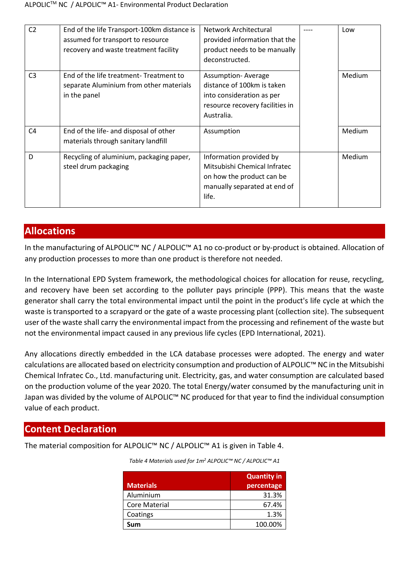| C <sub>2</sub> | End of the life Transport-100km distance is<br>assumed for transport to resource<br>recovery and waste treatment facility | Network Architectural<br>provided information that the<br>product needs to be manually<br>deconstructed.                               | Low    |
|----------------|---------------------------------------------------------------------------------------------------------------------------|----------------------------------------------------------------------------------------------------------------------------------------|--------|
| C <sub>3</sub> | End of the life treatment-Treatment to<br>separate Aluminium from other materials<br>in the panel                         | <b>Assumption- Average</b><br>distance of 100km is taken<br>into consideration as per<br>resource recovery facilities in<br>Australia. | Medium |
| C <sub>4</sub> | End of the life- and disposal of other<br>materials through sanitary landfill                                             | Assumption                                                                                                                             | Medium |
| D              | Recycling of aluminium, packaging paper,<br>steel drum packaging                                                          | Information provided by<br>Mitsubishi Chemical Infratec<br>on how the product can be<br>manually separated at end of<br>life.          | Medium |

## **Allocations**

In the manufacturing of ALPOLIC™ NC / ALPOLIC™ A1 no co-product or by-product is obtained. Allocation of any production processes to more than one product is therefore not needed.

In the International EPD System framework, the methodological choices for allocation for reuse, recycling, and recovery have been set according to the polluter pays principle (PPP). This means that the waste generator shall carry the total environmental impact until the point in the product's life cycle at which the waste is transported to a scrapyard or the gate of a waste processing plant (collection site). The subsequent user of the waste shall carry the environmental impact from the processing and refinement of the waste but not the environmental impact caused in any previous life cycles (EPD International, 2021).

Any allocations directly embedded in the LCA database processes were adopted. The energy and water calculations are allocated based on electricity consumption and production of ALPOLIC™ NC in the Mitsubishi Chemical Infratec Co., Ltd. manufacturing unit. Electricity, gas, and water consumption are calculated based on the production volume of the year 2020. The total Energy/water consumed by the manufacturing unit in Japan was divided by the volume of ALPOLIC™ NC produced for that year to find the individual consumption value of each product.

## **Content Declaration**

<span id="page-8-0"></span>The material composition for ALPOLIC™ NC / ALPOLIC™ A1 is given in [Table 4.](#page-8-0)

| <b>Materials</b> | <b>Quantity in</b><br>percentage |
|------------------|----------------------------------|
| Aluminium        | 31.3%                            |
| Core Material    | 67.4%                            |
| Coatings         | 1.3%                             |
| Sum              | 100.00%                          |

*Table 4 Materials used for 1m<sup>2</sup> ALPOLIC™ NC / ALPOLIC™ A1*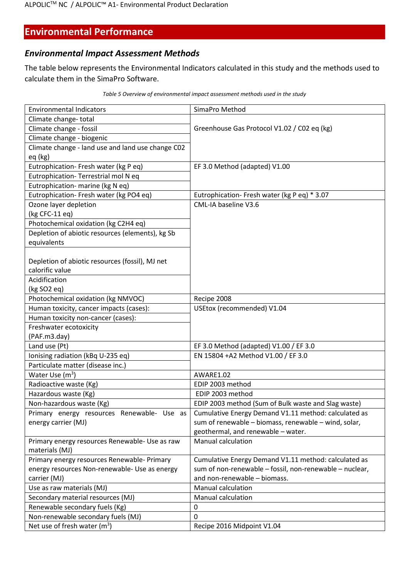## **Environmental Performance**

## *Environmental Impact Assessment Methods*

The table below represents the Environmental Indicators calculated in this study and the methods used to calculate them in the SimaPro Software.

| <b>Environmental Indicators</b>                   | SimaPro Method                                          |
|---------------------------------------------------|---------------------------------------------------------|
| Climate change-total                              |                                                         |
| Climate change - fossil                           | Greenhouse Gas Protocol V1.02 / C02 eq (kg)             |
| Climate change - biogenic                         |                                                         |
| Climate change - land use and land use change C02 |                                                         |
| eq (kg)                                           |                                                         |
| Eutrophication- Fresh water (kg P eq)             | EF 3.0 Method (adapted) V1.00                           |
| Eutrophication-Terrestrial mol N eq               |                                                         |
| Eutrophication- marine (kg N eq)                  |                                                         |
| Eutrophication- Fresh water (kg PO4 eq)           | Eutrophication- Fresh water (kg P eq) * 3.07            |
| Ozone layer depletion                             | CML-IA baseline V3.6                                    |
| (kg CFC-11 eq)                                    |                                                         |
| Photochemical oxidation (kg C2H4 eq)              |                                                         |
| Depletion of abiotic resources (elements), kg Sb  |                                                         |
| equivalents                                       |                                                         |
|                                                   |                                                         |
| Depletion of abiotic resources (fossil), MJ net   |                                                         |
| calorific value                                   |                                                         |
| Acidification                                     |                                                         |
| (kg SO2 eq)                                       |                                                         |
| Photochemical oxidation (kg NMVOC)                | Recipe 2008                                             |
| Human toxicity, cancer impacts (cases):           | USEtox (recommended) V1.04                              |
| Human toxicity non-cancer (cases):                |                                                         |
| Freshwater ecotoxicity                            |                                                         |
| (PAF.m3.day)                                      |                                                         |
| Land use (Pt)                                     | EF 3.0 Method (adapted) V1.00 / EF 3.0                  |
| Ionising radiation (kBq U-235 eq)                 | EN 15804 +A2 Method V1.00 / EF 3.0                      |
| Particulate matter (disease inc.)                 |                                                         |
| Water Use $(m^3)$                                 | AWARE1.02                                               |
| Radioactive waste (Kg)                            | EDIP 2003 method                                        |
| Hazardous waste (Kg)                              | EDIP 2003 method                                        |
| Non-hazardous waste (Kg)                          | EDIP 2003 method (Sum of Bulk waste and Slag waste)     |
| Primary energy resources Renewable- Use as        | Cumulative Energy Demand V1.11 method: calculated as    |
| energy carrier (MJ)                               | sum of renewable - biomass, renewable - wind, solar,    |
|                                                   | geothermal, and renewable - water.                      |
| Primary energy resources Renewable- Use as raw    | <b>Manual calculation</b>                               |
| materials (MJ)                                    |                                                         |
| Primary energy resources Renewable- Primary       | Cumulative Energy Demand V1.11 method: calculated as    |
| energy resources Non-renewable- Use as energy     | sum of non-renewable - fossil, non-renewable - nuclear, |
| carrier (MJ)                                      | and non-renewable - biomass.                            |
| Use as raw materials (MJ)                         | <b>Manual calculation</b>                               |
| Secondary material resources (MJ)                 | <b>Manual calculation</b>                               |
| Renewable secondary fuels (Kg)                    | 0                                                       |
| Non-renewable secondary fuels (MJ)                | 0                                                       |
| Net use of fresh water $(m^3)$                    | Recipe 2016 Midpoint V1.04                              |

*Table 5 Overview of environmental impact assessment methods used in the study*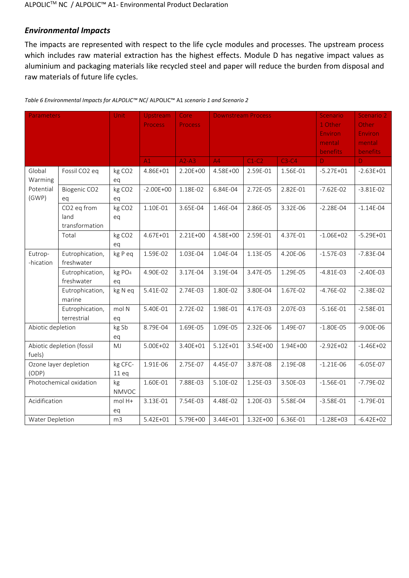#### *Environmental Impacts*

The impacts are represented with respect to the life cycle modules and processes. The upstream process which includes raw material extraction has the highest effects. Module D has negative impact values as aluminium and packaging materials like recycled steel and paper will reduce the burden from disposal and raw materials of future life cycles.

| Parameters        |                           | <b>Unit</b>        | Upstream       | Core           | <b>Downstream Process</b> |          |          | Scenario       | Scenario 2     |
|-------------------|---------------------------|--------------------|----------------|----------------|---------------------------|----------|----------|----------------|----------------|
|                   |                           |                    | <b>Process</b> | <b>Process</b> |                           |          |          | 1 Other        | Other          |
|                   |                           |                    |                |                |                           |          |          | <b>Environ</b> | <b>Environ</b> |
|                   |                           |                    |                |                |                           |          | mental   | mental         |                |
|                   |                           |                    |                |                |                           |          |          | benefits       | benefits       |
|                   |                           |                    | A1             | $A2-A3$        | A4                        | $C1-C2$  | $C3-C4$  | D.             | D.             |
| Global            | Fossil CO2 eq             | kg CO <sub>2</sub> | 4.86E+01       | 2.20E+00       | 4.58E+00                  | 2.59E-01 | 1.56E-01 | $-5.27E + 01$  | $-2.63E + 01$  |
| Warming           |                           | eq                 |                |                |                           |          |          |                |                |
| Potential         | Biogenic CO2              | kg CO <sub>2</sub> | $-2.00E + 00$  | 1.18E-02       | 6.84E-04                  | 2.72E-05 | 2.82E-01 | $-7.62E - 02$  | $-3.81E-02$    |
| (GWP)             | eq                        | eq                 |                |                |                           |          |          |                |                |
|                   | CO2 eq from               | kg CO <sub>2</sub> | 1.10E-01       | 3.65E-04       | 1.46E-04                  | 2.86E-05 | 3.32E-06 | $-2.28E - 04$  | $-1.14E-04$    |
|                   | land                      | eq                 |                |                |                           |          |          |                |                |
|                   | transformation            |                    |                |                |                           |          |          |                |                |
|                   | Total                     | kg CO <sub>2</sub> | 4.67E+01       | 2.21E+00       | 4.58E+00                  | 2.59E-01 | 4.37E-01 | $-1.06E + 02$  | $-5.29E + 01$  |
|                   |                           | eq                 |                |                |                           |          |          |                |                |
| Eutrop-           | Eutrophication,           | kg P eq            | 1.59E-02       | 1.03E-04       | 1.04E-04                  | 1.13E-05 | 4.20E-06 | $-1.57E-03$    | $-7.83E - 04$  |
| -hication         | freshwater                |                    |                |                |                           |          |          |                |                |
|                   | Eutrophication,           | kg PO <sub>4</sub> | 4.90E-02       | 3.17E-04       | 3.19E-04                  | 3.47E-05 | 1.29E-05 | $-4.81E-03$    | $-2.40E-03$    |
|                   | freshwater                | eq                 |                |                |                           |          |          |                |                |
|                   | Eutrophication,           | kg N eq            | 5.41E-02       | 2.74E-03       | 1.80E-02                  | 3.80E-04 | 1.67E-02 | $-4.76E - 02$  | $-2.38E-02$    |
|                   | marine                    |                    |                |                |                           |          |          |                |                |
|                   | Eutrophication,           | mol N              | 5.40E-01       | 2.72E-02       | 1.98E-01                  | 4.17E-03 | 2.07E-03 | $-5.16E - 01$  | $-2.58E-01$    |
|                   | terrestrial               | eq                 |                |                |                           |          |          |                |                |
| Abiotic depletion |                           | kg Sb              | 8.79E-04       | 1.69E-05       | 1.09E-05                  | 2.32E-06 | 1.49E-07 | $-1.80E - 05$  | $-9.00E - 06$  |
|                   |                           | eq                 |                |                |                           |          |          |                |                |
|                   | Abiotic depletion (fossil | MJ                 | 5.00E+02       | 3.40E+01       | $5.12E + 01$              | 3.54E+00 | 1.94E+00 | $-2.92E + 02$  | $-1.46E + 02$  |
| fuels)            |                           |                    |                |                |                           |          |          |                |                |
|                   | Ozone layer depletion     | kg CFC-            | 1.91E-06       | 2.75E-07       | 4.45E-07                  | 3.87E-08 | 2.19E-08 | $-1.21E-06$    | $-6.05E - 07$  |
| (ODP)             |                           | 11eq               |                |                |                           |          |          |                |                |
|                   | Photochemical oxidation   | kg                 | 1.60E-01       | 7.88E-03       | 5.10E-02                  | 1.25E-03 | 3.50E-03 | $-1.56E-01$    | $-7.79E-02$    |
|                   |                           | <b>NMVOC</b>       |                |                |                           |          |          |                |                |
| Acidification     |                           | mol H+             | 3.13E-01       | 7.54E-03       | 4.48E-02                  | 1.20E-03 | 5.58E-04 | $-3.58E - 01$  | $-1.79E-01$    |
|                   |                           | eq                 |                |                |                           |          |          |                |                |
| Water Depletion   |                           | m <sub>3</sub>     | 5.42E+01       | 5.79E+00       | 3.44E+01                  | 1.32E+00 | 6.36E-01 | $-1.28E + 03$  | $-6.42E + 02$  |

*Table 6 Environmental Impacts for ALPOLIC™ NC*/ ALPOLIC™ A1 *scenario 1 and Scenario 2*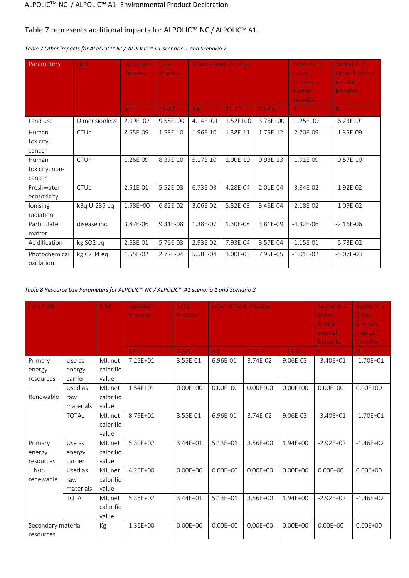#### [Table 7](#page-11-0) represents additional impacts for ALPOLIC™ NC / ALPOLIC™ A1.

| <b>Parameters</b>                 | Unit                 | <b>Upstream</b><br><b>Process</b> | Core<br><b>Process</b> | <b>Downstream Process</b> |          |          | Scenario 1<br>Other<br>Environ<br>mental<br>benefits | Scenario 2<br><b>Other Environ</b><br>mental<br><b>benefits</b> |
|-----------------------------------|----------------------|-----------------------------------|------------------------|---------------------------|----------|----------|------------------------------------------------------|-----------------------------------------------------------------|
|                                   |                      | A1                                | $A2-A3$                | A4                        | $C1-C2$  | $C3-C4$  | D                                                    | $\mathbf{D}$                                                    |
| Land use                          | <b>Dimensionless</b> | 2.99E+02                          | 9.58E+00               | 4.14E+01                  | 1.52E+00 | 3.76E+00 | $-1.25E + 02$                                        | $-6.23E + 01$                                                   |
| Human<br>toxicity,<br>cancer      | <b>CTUh</b>          | 8.55E-09                          | 1.53E-10               | 1.96E-10                  | 1.38E-11 | 1.79E-12 | $-2.70E-09$                                          | $-1.35E-09$                                                     |
| Human<br>toxicity, non-<br>cancer | <b>CTUh</b>          | 1.26E-09                          | 8.37E-10               | 5.17E-10                  | 1.00E-10 | 9.93E-13 | $-1.91E-09$                                          | $-9.57E-10$                                                     |
| Freshwater<br>ecotoxicity         | CTUe                 | 2.51E-01                          | 5.52E-03               | 6.73E-03                  | 4.28E-04 | 2.01E-04 | $-3.84E - 02$                                        | $-1.92E-02$                                                     |
| lonising<br>radiation             | kBq U-235 eq         | 1.58E+00                          | 6.82E-02               | 3.06E-02                  | 5.32E-03 | 3.46E-04 | $-2.18E-02$                                          | $-1.09E - 02$                                                   |
| Particulate<br>matter             | disease inc.         | 3.87E-06                          | 9.31E-08               | 1.38E-07                  | 1.30E-08 | 3.81E-09 | $-4.32E - 06$                                        | $-2.16E-06$                                                     |
| Acidification                     | kg SO2 eq            | 2.63E-01                          | 5.76E-03               | 2.93E-02                  | 7.93E-04 | 3.57E-04 | $-1.15E-01$                                          | $-5.73E-02$                                                     |
| Photochemical<br>oxidation        | kg C2H4 eq           | 1.55E-02                          | 2.72E-04               | 5.58E-04                  | 3.00E-05 | 7.95E-05 | $-1.01E-02$                                          | $-5.07E-03$                                                     |

#### <span id="page-11-0"></span>*Table 7 Other impacts for ALPOLIC™ NC/ ALPOLIC™ A1 scenario 1 and Scenario 2*

#### *Table 8 Resource Use Parameters for ALPOLIC™ NC / ALPOLIC™ A1 scenario 1 and Scenario 2*

| Parameter                       |                             | Unit                          | Upstream<br><b>Process</b> | Core<br><b>Process</b> | <b>Downstream Process</b> |              |              | Scenario 1<br>Other<br><b>Environ</b><br>mental<br>benefits | Scenario 2<br>Other<br><b>Environ</b><br>mental '<br>benefits |
|---------------------------------|-----------------------------|-------------------------------|----------------------------|------------------------|---------------------------|--------------|--------------|-------------------------------------------------------------|---------------------------------------------------------------|
|                                 |                             |                               | A1                         | $A2-A3$                | A4                        | $C1-C2$      | $C3-C4$      | D                                                           | $\mathbf{D}$                                                  |
| Primary<br>energy<br>resources  | Use as<br>energy<br>carrier | MJ, net<br>calorific<br>value | 7.25E+01                   | 3.55E-01               | 6.96E-01                  | 3.74E-02     | 9.06E-03     | $-3.40E + 01$                                               | $-1.70E + 01$                                                 |
| Renewable                       | Used as<br>raw<br>materials | MJ, net<br>calorific<br>value | 1.54E+01                   | $0.00E + 00$           | $0.00E + 00$              | $0.00E + 00$ | $0.00E + 00$ | $0.00E + 00$                                                | $0.00E + 00$                                                  |
|                                 | <b>TOTAL</b>                | MJ, net<br>calorific<br>value | 8.79E+01                   | 3.55E-01               | 6.96E-01                  | 3.74E-02     | 9.06E-03     | $-3.40E + 01$                                               | $-1.70E + 01$                                                 |
| Primary<br>energy<br>resources  | Use as<br>energy<br>carrier | MJ, net<br>calorific<br>value | 5.30E+02                   | 3.44E+01               | $5.13E + 01$              | 3.56E+00     | 1.94E+00     | $-2.92E + 02$                                               | $-1.46E + 02$                                                 |
| $-$ Non-<br>renewable           | Used as<br>raw<br>materials | MJ, net<br>calorific<br>value | 4.26E+00                   | $0.00E + 00$           | $0.00E + 00$              | $0.00E + 00$ | $0.00E + 00$ | $0.00E + 00$                                                | $0.00E + 00$                                                  |
|                                 | <b>TOTAL</b>                | MJ, net<br>calorific<br>value | 5.35E+02                   | 3.44E+01               | $5.13E + 01$              | 3.56E+00     | 1.94E+00     | $-2.92E + 02$                                               | $-1.46E + 02$                                                 |
| Secondary material<br>resources |                             | Kg                            | 1.36E+00                   | $0.00E + 00$           | $0.00E + 00$              | $0.00E + 00$ | $0.00E + 00$ | $0.00E + 00$                                                | $0.00E + 00$                                                  |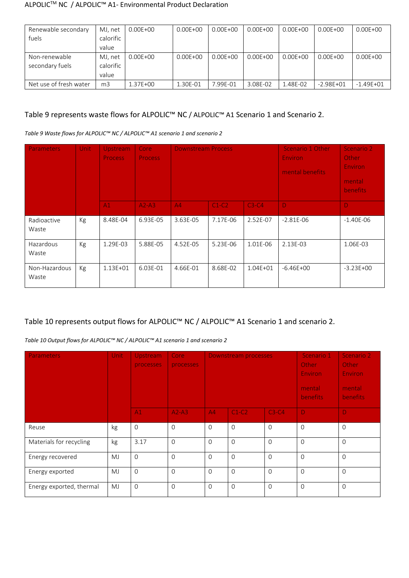| Renewable secondary    | MJ, net        | $0.00E + 00$ | $0.00E + 00$ | $0.00E + 00$ | $0.00E + 00$ | $0.00E + 00$ | $0.00E + 00$  | $0.00E + 00$  |
|------------------------|----------------|--------------|--------------|--------------|--------------|--------------|---------------|---------------|
| fuels                  | calorific      |              |              |              |              |              |               |               |
|                        | value          |              |              |              |              |              |               |               |
| Non-renewable          | MJ, net        | $0.00E + 00$ | $0.00E + 00$ | $0.00E + 00$ | $0.00E + 00$ | $0.00E + 00$ | $0.00E + 00$  | $0.00E + 00$  |
| secondary fuels        | calorific      |              |              |              |              |              |               |               |
|                        | value          |              |              |              |              |              |               |               |
| Net use of fresh water | m <sub>3</sub> | 1.37E+00     | 1.30E-01     | 7.99E-01     | 3.08E-02     | 1.48E-02     | $-2.98E + 01$ | $-1.49E + 01$ |

## [Table 9](#page-12-0) represents waste flows for ALPOLIC™ NC / ALPOLIC™ A1 Scenario 1 and Scenario 2.

<span id="page-12-0"></span>*Table 9 Waste flows for ALPOLIC™ NC / ALPOLIC™ A1 scenario 1 and scenario 2*

| <b>Parameters</b>      | Unit | Upstream<br><b>Process</b> | Core<br><b>Process</b> | <b>Downstream Process</b> |          |              | Scenario 1 Other<br><b>Environ</b><br>mental benefits | Scenario 2<br><b>Other</b><br><b>Environ</b><br>mental<br><b>benefits</b> |
|------------------------|------|----------------------------|------------------------|---------------------------|----------|--------------|-------------------------------------------------------|---------------------------------------------------------------------------|
|                        |      | A1                         | $A2-A3$                | A4                        | $C1-C2$  | $C3-C4$      | -D                                                    | Ð                                                                         |
| Radioactive<br>Waste   | Kg   | 8.48E-04                   | 6.93E-05               | 3.63E-05                  | 7.17E-06 | 2.52E-07     | $-2.81E-06$                                           | $-1.40E-06$                                                               |
| Hazardous<br>Waste     | Kg   | 1.29E-03                   | 5.88E-05               | 4.52E-05                  | 5.23E-06 | 1.01E-06     | 2.13E-03                                              | 1.06E-03                                                                  |
| Non-Hazardous<br>Waste | Kg   | $1.13E + 01$               | 6.03E-01               | 4.66E-01                  | 8.68E-02 | $1.04E + 01$ | $-6.46E + 00$                                         | $-3.23E+00$                                                               |

## [Table 10](#page-12-1) represents output flows for ALPOLIC™ NC / ALPOLIC™ A1 Scenario 1 and scenario 2.

<span id="page-12-1"></span>*Table 10 Output flows for ALPOLIC™ NC / ALPOLIC™ A1 scenario 1 and scenario 2*

| Parameters               | <b>Unit</b> | Upstream<br>processes | Core<br>processes | Downstream processes |          |          | Scenario 1<br>Other<br><b>Environ</b><br>mental<br><b>benefits</b> | Scenario 2<br>Other<br><b>Environ</b><br>mental<br><b>benefits</b> |
|--------------------------|-------------|-----------------------|-------------------|----------------------|----------|----------|--------------------------------------------------------------------|--------------------------------------------------------------------|
|                          |             | A1                    | $A2-A3$           | A4                   | $C1-C2$  | $C3-C4$  | D.                                                                 | Ð                                                                  |
| Reuse                    | kg          | $\Omega$              | $\Omega$          | $\Omega$             | $\Omega$ | $\Omega$ | $\Omega$                                                           | $\Omega$                                                           |
| Materials for recycling  | kg          | 3.17                  | $\Omega$          | $\Omega$             | $\Omega$ | $\Omega$ | $\Omega$                                                           | $\Omega$                                                           |
| Energy recovered         | <b>MJ</b>   | $\Omega$              | $\Omega$          | $\Omega$             | $\Omega$ | $\Omega$ | $\Omega$                                                           | $\Omega$                                                           |
| Energy exported          | <b>MJ</b>   | $\Omega$              | $\Omega$          | $\Omega$             | $\Omega$ | $\Omega$ | $\mathbf 0$                                                        | $\Omega$                                                           |
| Energy exported, thermal | MJ          | $\Omega$              | $\Omega$          | $\Omega$             | $\Omega$ | $\Omega$ | $\Omega$                                                           | $\Omega$                                                           |